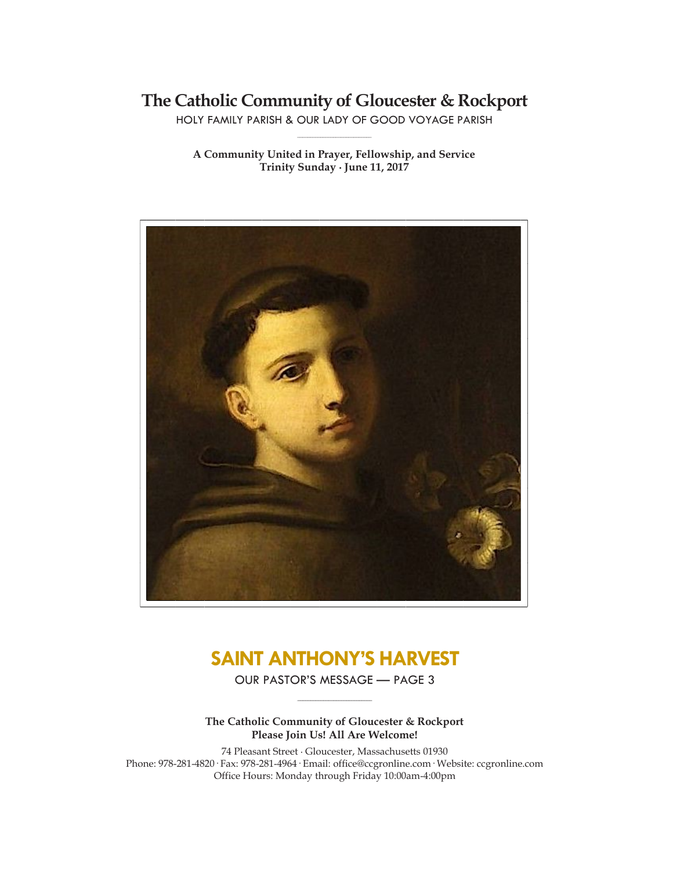# **The Catholic Community of Gloucester & Rockport**

HOLY FAMILY PARISH & OUR LADY OF GOOD VOYAGE PARISH **\_\_\_\_\_\_\_\_\_\_\_\_\_\_\_\_\_\_\_\_\_\_\_\_\_\_\_\_\_**

**A Community United in Prayer, Fellowship, and Service Trinity Sunday ∙ June 11, 2017**



# **SAINT ANTHONY'S HARVEST**

OUR PASTOR'S MESSAGE — PAGE 3 **\_\_\_\_\_\_\_\_\_\_\_\_\_\_\_\_\_\_\_\_\_\_\_\_\_\_\_\_\_**

**The Catholic Community of Gloucester & Rockport Please Join Us! All Are Welcome!**

74 Pleasant Street ∙ Gloucester, Massachusetts 01930 Phone: 978-281-4820· Fax: 978-281-4964· Email: office@ccgronline.com· Website: ccgronline.com Office Hours: Monday through Friday 10:00am-4:00pm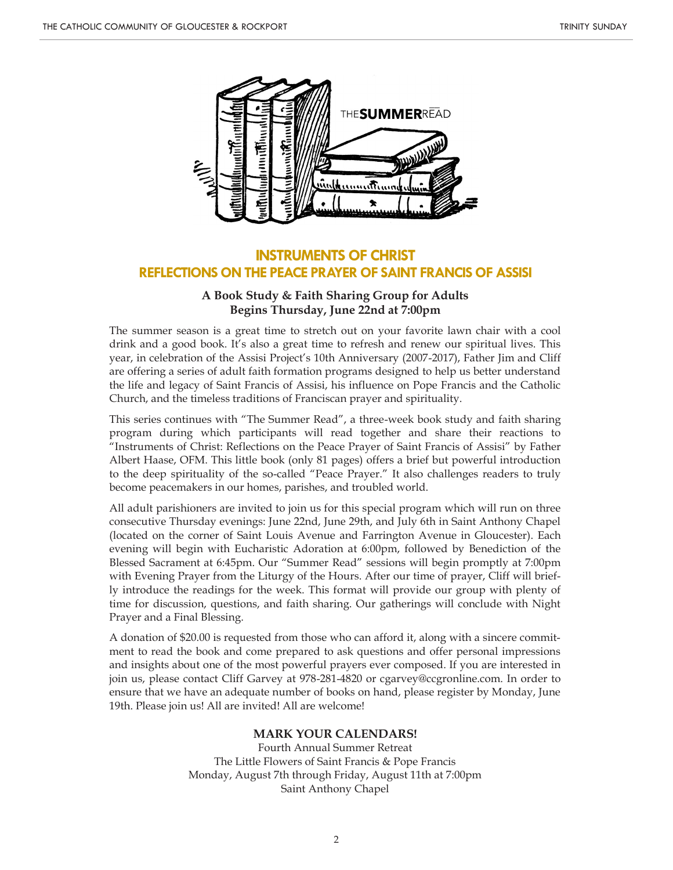

# **INSTRUMENTS OF CHRIST REFLECTIONS ON THE PEACE PRAYER OF SAINT FRANCIS OF ASSISI**

# **A Book Study & Faith Sharing Group for Adults Begins Thursday, June 22nd at 7:00pm**

The summer season is a great time to stretch out on your favorite lawn chair with a cool drink and a good book. It's also a great time to refresh and renew our spiritual lives. This year, in celebration of the Assisi Project's 10th Anniversary (2007-2017), Father Jim and Cliff are offering a series of adult faith formation programs designed to help us better understand the life and legacy of Saint Francis of Assisi, his influence on Pope Francis and the Catholic Church, and the timeless traditions of Franciscan prayer and spirituality.

This series continues with "The Summer Read", a three-week book study and faith sharing program during which participants will read together and share their reactions to "Instruments of Christ: Reflections on the Peace Prayer of Saint Francis of Assisi" by Father Albert Haase, OFM. This little book (only 81 pages) offers a brief but powerful introduction to the deep spirituality of the so-called "Peace Prayer." It also challenges readers to truly become peacemakers in our homes, parishes, and troubled world.

All adult parishioners are invited to join us for this special program which will run on three consecutive Thursday evenings: June 22nd, June 29th, and July 6th in Saint Anthony Chapel (located on the corner of Saint Louis Avenue and Farrington Avenue in Gloucester). Each evening will begin with Eucharistic Adoration at 6:00pm, followed by Benediction of the Blessed Sacrament at 6:45pm. Our "Summer Read" sessions will begin promptly at 7:00pm with Evening Prayer from the Liturgy of the Hours. After our time of prayer, Cliff will briefly introduce the readings for the week. This format will provide our group with plenty of time for discussion, questions, and faith sharing. Our gatherings will conclude with Night Prayer and a Final Blessing.

A donation of \$20.00 is requested from those who can afford it, along with a sincere commitment to read the book and come prepared to ask questions and offer personal impressions and insights about one of the most powerful prayers ever composed. If you are interested in join us, please contact Cliff Garvey at 978-281-4820 or cgarvey@ccgronline.com. In order to ensure that we have an adequate number of books on hand, please register by Monday, June 19th. Please join us! All are invited! All are welcome!

### **MARK YOUR CALENDARS!**

Fourth Annual Summer Retreat The Little Flowers of Saint Francis & Pope Francis Monday, August 7th through Friday, August 11th at 7:00pm Saint Anthony Chapel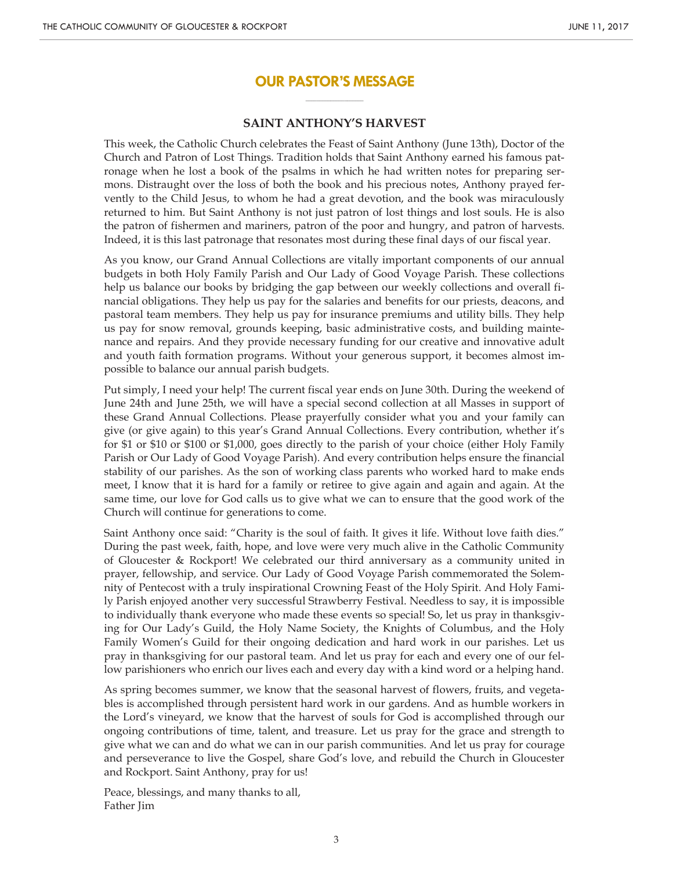# **OUR PASTOR'S MESSAGE \_\_\_\_\_\_\_\_\_\_\_\_\_\_\_\_\_\_\_\_\_**

### **SAINT ANTHONY'S HARVEST**

This week, the Catholic Church celebrates the Feast of Saint Anthony (June 13th), Doctor of the Church and Patron of Lost Things. Tradition holds that Saint Anthony earned his famous patronage when he lost a book of the psalms in which he had written notes for preparing sermons. Distraught over the loss of both the book and his precious notes, Anthony prayed fervently to the Child Jesus, to whom he had a great devotion, and the book was miraculously returned to him. But Saint Anthony is not just patron of lost things and lost souls. He is also the patron of fishermen and mariners, patron of the poor and hungry, and patron of harvests. Indeed, it is this last patronage that resonates most during these final days of our fiscal year.

As you know, our Grand Annual Collections are vitally important components of our annual budgets in both Holy Family Parish and Our Lady of Good Voyage Parish. These collections help us balance our books by bridging the gap between our weekly collections and overall financial obligations. They help us pay for the salaries and benefits for our priests, deacons, and pastoral team members. They help us pay for insurance premiums and utility bills. They help us pay for snow removal, grounds keeping, basic administrative costs, and building maintenance and repairs. And they provide necessary funding for our creative and innovative adult and youth faith formation programs. Without your generous support, it becomes almost impossible to balance our annual parish budgets.

Put simply, I need your help! The current fiscal year ends on June 30th. During the weekend of June 24th and June 25th, we will have a special second collection at all Masses in support of these Grand Annual Collections. Please prayerfully consider what you and your family can give (or give again) to this year's Grand Annual Collections. Every contribution, whether it's for \$1 or \$10 or \$100 or \$1,000, goes directly to the parish of your choice (either Holy Family Parish or Our Lady of Good Voyage Parish). And every contribution helps ensure the financial stability of our parishes. As the son of working class parents who worked hard to make ends meet, I know that it is hard for a family or retiree to give again and again and again. At the same time, our love for God calls us to give what we can to ensure that the good work of the Church will continue for generations to come.

Saint Anthony once said: "Charity is the soul of faith. It gives it life. Without love faith dies." During the past week, faith, hope, and love were very much alive in the Catholic Community of Gloucester & Rockport! We celebrated our third anniversary as a community united in prayer, fellowship, and service. Our Lady of Good Voyage Parish commemorated the Solemnity of Pentecost with a truly inspirational Crowning Feast of the Holy Spirit. And Holy Family Parish enjoyed another very successful Strawberry Festival. Needless to say, it is impossible to individually thank everyone who made these events so special! So, let us pray in thanksgiving for Our Lady's Guild, the Holy Name Society, the Knights of Columbus, and the Holy Family Women's Guild for their ongoing dedication and hard work in our parishes. Let us pray in thanksgiving for our pastoral team. And let us pray for each and every one of our fellow parishioners who enrich our lives each and every day with a kind word or a helping hand.

As spring becomes summer, we know that the seasonal harvest of flowers, fruits, and vegetables is accomplished through persistent hard work in our gardens. And as humble workers in the Lord's vineyard, we know that the harvest of souls for God is accomplished through our ongoing contributions of time, talent, and treasure. Let us pray for the grace and strength to give what we can and do what we can in our parish communities. And let us pray for courage and perseverance to live the Gospel, share God's love, and rebuild the Church in Gloucester and Rockport. Saint Anthony, pray for us!

Peace, blessings, and many thanks to all, Father Jim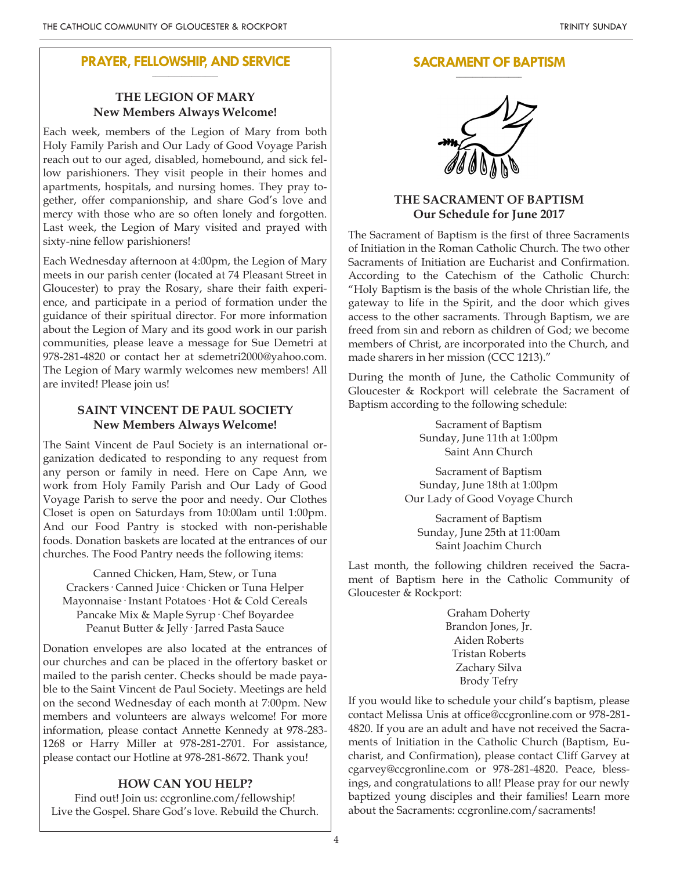#### **PRAYER, FELLOWSHIP, AND SERVICE \_\_\_\_\_\_\_\_\_\_\_\_\_\_\_\_\_\_\_\_**

# **THE LEGION OF MARY New Members Always Welcome!**

Each week, members of the Legion of Mary from both Holy Family Parish and Our Lady of Good Voyage Parish reach out to our aged, disabled, homebound, and sick fellow parishioners. They visit people in their homes and apartments, hospitals, and nursing homes. They pray together, offer companionship, and share God's love and mercy with those who are so often lonely and forgotten. Last week, the Legion of Mary visited and prayed with sixty-nine fellow parishioners!

Each Wednesday afternoon at 4:00pm, the Legion of Mary meets in our parish center (located at 74 Pleasant Street in Gloucester) to pray the Rosary, share their faith experience, and participate in a period of formation under the guidance of their spiritual director. For more information about the Legion of Mary and its good work in our parish communities, please leave a message for Sue Demetri at 978-281-4820 or contact her at sdemetri2000@yahoo.com. The Legion of Mary warmly welcomes new members! All are invited! Please join us!

# **SAINT VINCENT DE PAUL SOCIETY New Members Always Welcome!**

The Saint Vincent de Paul Society is an international organization dedicated to responding to any request from any person or family in need. Here on Cape Ann, we work from Holy Family Parish and Our Lady of Good Voyage Parish to serve the poor and needy. Our Clothes Closet is open on Saturdays from 10:00am until 1:00pm. And our Food Pantry is stocked with non-perishable foods. Donation baskets are located at the entrances of our churches. The Food Pantry needs the following items:

Canned Chicken, Ham, Stew, or Tuna Crackers· Canned Juice· Chicken or Tuna Helper Mayonnaise· Instant Potatoes· Hot & Cold Cereals Pancake Mix & Maple Syrup· Chef Boyardee Peanut Butter & Jelly· Jarred Pasta Sauce

Donation envelopes are also located at the entrances of our churches and can be placed in the offertory basket or mailed to the parish center. Checks should be made payable to the Saint Vincent de Paul Society. Meetings are held on the second Wednesday of each month at 7:00pm. New members and volunteers are always welcome! For more information, please contact Annette Kennedy at 978-283- 1268 or Harry Miller at 978-281-2701. For assistance, please contact our Hotline at 978-281-8672. Thank you!

# **HOW CAN YOU HELP?**

Find out! Join us: ccgronline.com/fellowship! Live the Gospel. Share God's love. Rebuild the Church.

#### **SACRAMENT OF BAPTISM \_\_\_\_\_\_\_\_\_\_\_\_\_\_\_\_\_\_\_\_**



# **THE SACRAMENT OF BAPTISM Our Schedule for June 2017**

The Sacrament of Baptism is the first of three Sacraments of Initiation in the Roman Catholic Church. The two other Sacraments of Initiation are Eucharist and Confirmation. According to the Catechism of the Catholic Church: "Holy Baptism is the basis of the whole Christian life, the gateway to life in the Spirit, and the door which gives access to the other sacraments. Through Baptism, we are freed from sin and reborn as children of God; we become members of Christ, are incorporated into the Church, and made sharers in her mission (CCC 1213)."

During the month of June, the Catholic Community of Gloucester & Rockport will celebrate the Sacrament of Baptism according to the following schedule:

> Sacrament of Baptism Sunday, June 11th at 1:00pm Saint Ann Church

Sacrament of Baptism Sunday, June 18th at 1:00pm Our Lady of Good Voyage Church

Sacrament of Baptism Sunday, June 25th at 11:00am Saint Joachim Church

Last month, the following children received the Sacrament of Baptism here in the Catholic Community of Gloucester & Rockport:

> Graham Doherty Brandon Jones, Jr. Aiden Roberts Tristan Roberts Zachary Silva Brody Tefry

If you would like to schedule your child's baptism, please contact Melissa Unis at office@ccgronline.com or 978-281- 4820. If you are an adult and have not received the Sacraments of Initiation in the Catholic Church (Baptism, Eucharist, and Confirmation), please contact Cliff Garvey at cgarvey@ccgronline.com or 978-281-4820. Peace, blessings, and congratulations to all! Please pray for our newly baptized young disciples and their families! Learn more about the Sacraments: ccgronline.com/sacraments!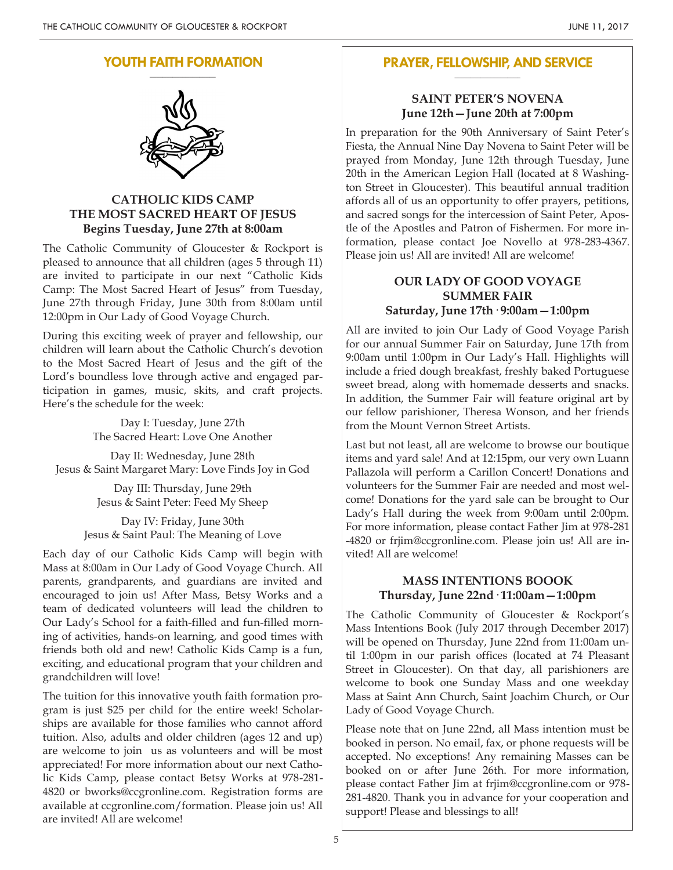# **YOUTH FAITH FORMATION**



# **CATHOLIC KIDS CAMP THE MOST SACRED HEART OF JESUS Begins Tuesday, June 27th at 8:00am**

The Catholic Community of Gloucester & Rockport is pleased to announce that all children (ages 5 through 11) are invited to participate in our next "Catholic Kids Camp: The Most Sacred Heart of Jesus" from Tuesday, June 27th through Friday, June 30th from 8:00am until 12:00pm in Our Lady of Good Voyage Church.

During this exciting week of prayer and fellowship, our children will learn about the Catholic Church's devotion to the Most Sacred Heart of Jesus and the gift of the Lord's boundless love through active and engaged participation in games, music, skits, and craft projects. Here's the schedule for the week:

> Day I: Tuesday, June 27th The Sacred Heart: Love One Another

Day II: Wednesday, June 28th Jesus & Saint Margaret Mary: Love Finds Joy in God

> Day III: Thursday, June 29th Jesus & Saint Peter: Feed My Sheep

Day IV: Friday, June 30th Jesus & Saint Paul: The Meaning of Love

Each day of our Catholic Kids Camp will begin with Mass at 8:00am in Our Lady of Good Voyage Church. All parents, grandparents, and guardians are invited and encouraged to join us! After Mass, Betsy Works and a team of dedicated volunteers will lead the children to Our Lady's School for a faith-filled and fun-filled morning of activities, hands-on learning, and good times with friends both old and new! Catholic Kids Camp is a fun, exciting, and educational program that your children and grandchildren will love!

The tuition for this innovative youth faith formation program is just \$25 per child for the entire week! Scholarships are available for those families who cannot afford tuition. Also, adults and older children (ages 12 and up) are welcome to join us as volunteers and will be most appreciated! For more information about our next Catholic Kids Camp, please contact Betsy Works at 978-281- 4820 or bworks@ccgronline.com. Registration forms are available at ccgronline.com/formation. Please join us! All are invited! All are welcome!

#### **PRAYER, FELLOWSHIP, AND SERVICE \_\_\_\_\_\_\_\_\_\_\_\_\_\_\_\_\_\_\_\_**

### **SAINT PETER'S NOVENA June 12th—June 20th at 7:00pm**

In preparation for the 90th Anniversary of Saint Peter's Fiesta, the Annual Nine Day Novena to Saint Peter will be prayed from Monday, June 12th through Tuesday, June 20th in the American Legion Hall (located at 8 Washington Street in Gloucester). This beautiful annual tradition affords all of us an opportunity to offer prayers, petitions, and sacred songs for the intercession of Saint Peter, Apostle of the Apostles and Patron of Fishermen. For more information, please contact Joe Novello at 978-283-4367. Please join us! All are invited! All are welcome!

# **OUR LADY OF GOOD VOYAGE SUMMER FAIR Saturday, June 17th· 9:00am—1:00pm**

All are invited to join Our Lady of Good Voyage Parish for our annual Summer Fair on Saturday, June 17th from 9:00am until 1:00pm in Our Lady's Hall. Highlights will include a fried dough breakfast, freshly baked Portuguese sweet bread, along with homemade desserts and snacks. In addition, the Summer Fair will feature original art by our fellow parishioner, Theresa Wonson, and her friends from the Mount Vernon Street Artists.

Last but not least, all are welcome to browse our boutique items and yard sale! And at 12:15pm, our very own Luann Pallazola will perform a Carillon Concert! Donations and volunteers for the Summer Fair are needed and most welcome! Donations for the yard sale can be brought to Our Lady's Hall during the week from 9:00am until 2:00pm. For more information, please contact Father Jim at 978-281 -4820 or frjim@ccgronline.com. Please join us! All are invited! All are welcome!

# **MASS INTENTIONS BOOOK Thursday, June 22nd· 11:00am—1:00pm**

The Catholic Community of Gloucester & Rockport's Mass Intentions Book (July 2017 through December 2017) will be opened on Thursday, June 22nd from 11:00am until 1:00pm in our parish offices (located at 74 Pleasant Street in Gloucester). On that day, all parishioners are welcome to book one Sunday Mass and one weekday Mass at Saint Ann Church, Saint Joachim Church, or Our Lady of Good Voyage Church.

Please note that on June 22nd, all Mass intention must be booked in person. No email, fax, or phone requests will be accepted. No exceptions! Any remaining Masses can be booked on or after June 26th. For more information, please contact Father Jim at frjim@ccgronline.com or 978- 281-4820. Thank you in advance for your cooperation and support! Please and blessings to all!